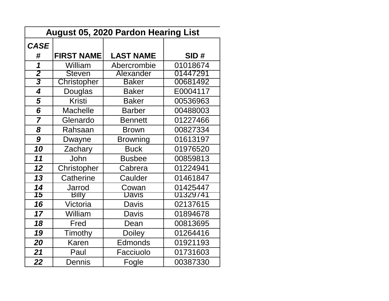| <b>August 05, 2020 Pardon Hearing List</b> |                   |                  |          |  |  |
|--------------------------------------------|-------------------|------------------|----------|--|--|
| <b>CASE</b>                                |                   |                  |          |  |  |
| #                                          | <b>FIRST NAME</b> | <b>LAST NAME</b> | SID#     |  |  |
| 1                                          | William           | Abercrombie      | 01018674 |  |  |
| $\overline{\mathbf{2}}$                    | <b>Steven</b>     | Alexander        | 01447291 |  |  |
| $\overline{\mathbf{3}}$                    | Christopher       | <b>Baker</b>     | 00681492 |  |  |
| $\overline{\mathbf{4}}$                    | Douglas           | <b>Baker</b>     | E0004117 |  |  |
| 5                                          | <b>Kristi</b>     | <b>Baker</b>     | 00536963 |  |  |
| 6                                          | <b>Machelle</b>   | <b>Barber</b>    | 00488003 |  |  |
| $\overline{7}$                             | Glenardo          | <b>Bennett</b>   | 01227466 |  |  |
| 8                                          | Rahsaan           | <b>Brown</b>     | 00827334 |  |  |
| 9                                          | Dwayne            | <b>Browning</b>  | 01613197 |  |  |
| 10                                         | Zachary           | <b>Buck</b>      | 01976520 |  |  |
| 11                                         | John              | <b>Busbee</b>    | 00859813 |  |  |
| 12                                         | Christopher       | Cabrera          | 01224941 |  |  |
| 13                                         | Catherine         | Caulder          | 01461847 |  |  |
| 14                                         | Jarrod            | Cowan            | 01425447 |  |  |
| 75                                         | <b>Billy</b>      | Javis            | 01329741 |  |  |
| 16                                         | Victoria          | Davis            | 02137615 |  |  |
| 17                                         | William           | Davis            | 01894678 |  |  |
| 18                                         | Fred              | Dean             | 00813695 |  |  |
| 19                                         | Timothy           | <b>Doiley</b>    | 01264416 |  |  |
| 20                                         | Karen             | Edmonds          | 01921193 |  |  |
| 21                                         | Paul              | Facciuolo        | 01731603 |  |  |
| 22                                         | <b>Dennis</b>     | Fogle            | 00387330 |  |  |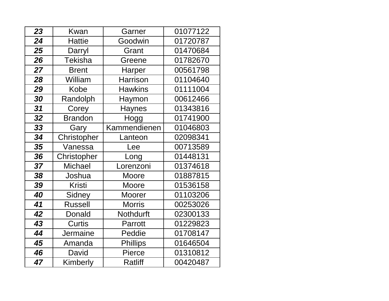| 23 | <b>Kwan</b>     | Garner          | 01077122 |
|----|-----------------|-----------------|----------|
| 24 | <b>Hattie</b>   | Goodwin         | 01720787 |
| 25 | Darryl          | Grant           | 01470684 |
| 26 | <b>Tekisha</b>  | Greene          | 01782670 |
| 27 | <b>Brent</b>    | Harper          | 00561798 |
| 28 | William         | <b>Harrison</b> | 01104640 |
| 29 | Kobe            | <b>Hawkins</b>  | 01111004 |
| 30 | Randolph        | Haymon          | 00612466 |
| 31 | Corey           | <b>Haynes</b>   | 01343816 |
| 32 | <b>Brandon</b>  | Hogg            | 01741900 |
| 33 | Gary            | Kammendienen    | 01046803 |
| 34 | Christopher     | .anteon         | 02098341 |
| 35 | Vanessa         | Lee             | 00713589 |
| 36 | Christopher     | Long            | 01448131 |
| 37 | Michael         | Lorenzoni       | 01374618 |
| 38 | Joshua          | Moore           | 01887815 |
| 39 | <b>Kristi</b>   | Moore           | 01536158 |
| 40 | Sidney          | Moorer          | 01103206 |
| 41 | <b>Russell</b>  | <b>Morris</b>   | 00253026 |
| 42 | Donald          | Nothdurft       | 02300133 |
| 43 | Curtis          | Parrott         | 01229823 |
| 44 | <b>Jermaine</b> | Peddie          | 01708147 |
| 45 | Amanda          | <b>Phillips</b> | 01646504 |
| 46 | David           | Pierce          | 01310812 |
| 47 | Kimberly        | <b>Ratliff</b>  | 00420487 |